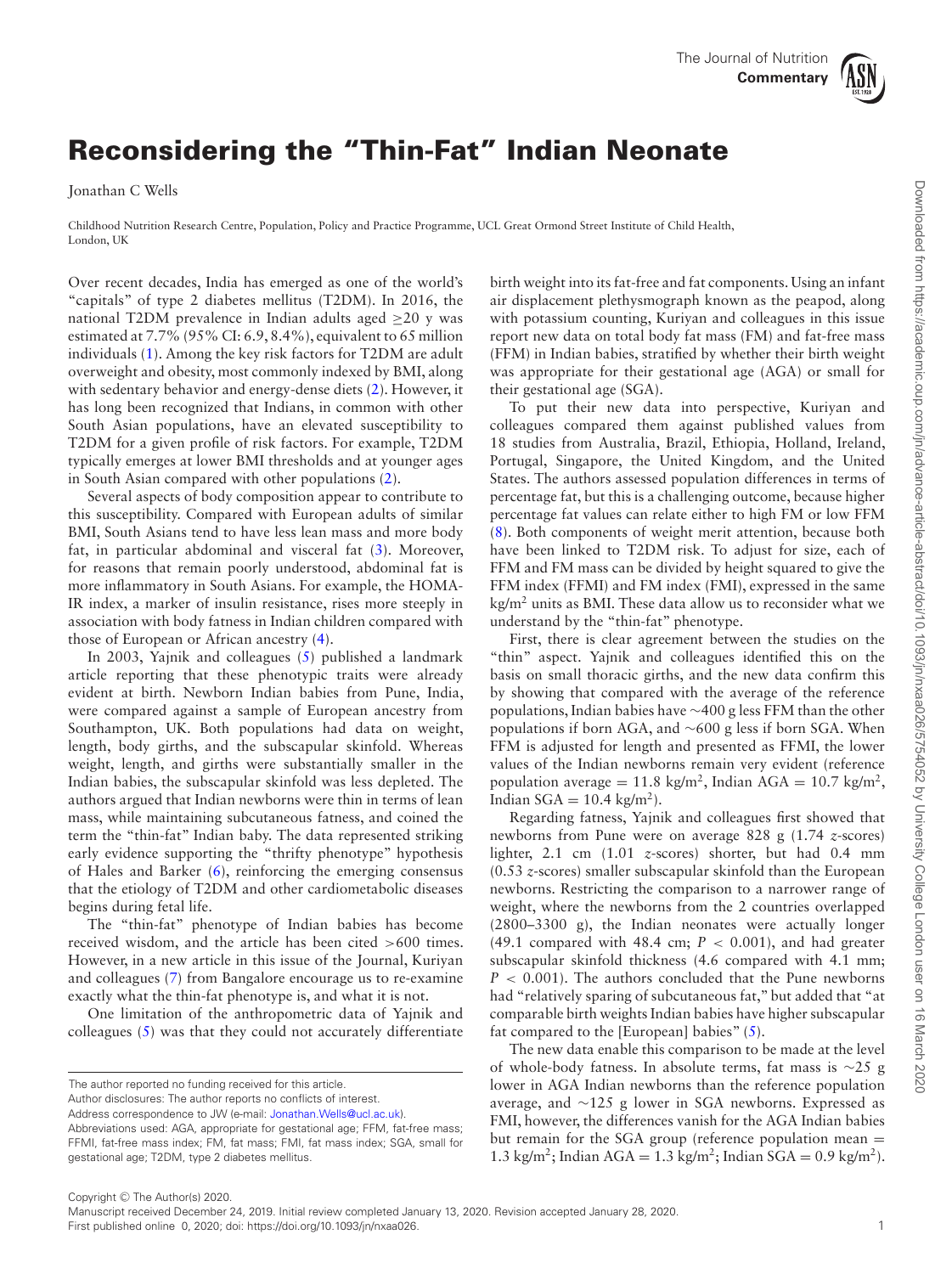

## **Reconsidering the "Thin-Fat" Indian Neonate**

Jonathan C Wells

Childhood Nutrition Research Centre, Population, Policy and Practice Programme, UCL Great Ormond Street Institute of Child Health, London, UK

Over recent decades, India has emerged as one of the world's "capitals" of type 2 diabetes mellitus (T2DM). In 2016, the national T2DM prevalence in Indian adults aged ≥20 y was estimated at 7.7% (95% CI: 6.9, 8.4%), equivalent to 65 million individuals [\(1\)](#page-1-0). Among the key risk factors for T2DM are adult overweight and obesity, most commonly indexed by BMI, along with sedentary behavior and energy-dense diets [\(2\)](#page-1-1). However, it has long been recognized that Indians, in common with other South Asian populations, have an elevated susceptibility to T2DM for a given profile of risk factors. For example, T2DM typically emerges at lower BMI thresholds and at younger ages in South Asian compared with other populations [\(2\)](#page-1-1).

Several aspects of body composition appear to contribute to this susceptibility. Compared with European adults of similar BMI, South Asians tend to have less lean mass and more body fat, in particular abdominal and visceral fat [\(3\)](#page-1-2). Moreover, for reasons that remain poorly understood, abdominal fat is more inflammatory in South Asians. For example, the HOMA-IR index, a marker of insulin resistance, rises more steeply in association with body fatness in Indian children compared with those of European or African ancestry [\(4\)](#page-1-3).

In 2003, Yajnik and colleagues [\(5\)](#page-1-4) published a landmark article reporting that these phenotypic traits were already evident at birth. Newborn Indian babies from Pune, India, were compared against a sample of European ancestry from Southampton, UK. Both populations had data on weight, length, body girths, and the subscapular skinfold. Whereas weight, length, and girths were substantially smaller in the Indian babies, the subscapular skinfold was less depleted. The authors argued that Indian newborns were thin in terms of lean mass, while maintaining subcutaneous fatness, and coined the term the "thin-fat" Indian baby. The data represented striking early evidence supporting the "thrifty phenotype" hypothesis of Hales and Barker [\(6\)](#page-2-0), reinforcing the emerging consensus that the etiology of T2DM and other cardiometabolic diseases begins during fetal life.

The "thin-fat" phenotype of Indian babies has become received wisdom, and the article has been cited >600 times. However, in a new article in this issue of the Journal, Kuriyan and colleagues [\(7\)](#page-2-1) from Bangalore encourage us to re-examine exactly what the thin-fat phenotype is, and what it is not.

One limitation of the anthropometric data of Yajnik and colleagues [\(5\)](#page-1-4) was that they could not accurately differentiate

Address correspondence to JW (e-mail: Jonathan. Wells@ucl.ac.uk).

birth weight into its fat-free and fat components. Using an infant air displacement plethysmograph known as the peapod, along with potassium counting, Kuriyan and colleagues in this issue report new data on total body fat mass (FM) and fat-free mass (FFM) in Indian babies, stratified by whether their birth weight was appropriate for their gestational age (AGA) or small for their gestational age (SGA).

To put their new data into perspective, Kuriyan and colleagues compared them against published values from 18 studies from Australia, Brazil, Ethiopia, Holland, Ireland, Portugal, Singapore, the United Kingdom, and the United States. The authors assessed population differences in terms of percentage fat, but this is a challenging outcome, because higher percentage fat values can relate either to high FM or low FFM [\(8\)](#page-2-2). Both components of weight merit attention, because both have been linked to T2DM risk. To adjust for size, each of FFM and FM mass can be divided by height squared to give the FFM index (FFMI) and FM index (FMI), expressed in the same  $kg/m<sup>2</sup>$  units as BMI. These data allow us to reconsider what we understand by the "thin-fat" phenotype.

First, there is clear agreement between the studies on the "thin" aspect. Yajnik and colleagues identified this on the basis on small thoracic girths, and the new data confirm this by showing that compared with the average of the reference populations, Indian babies have ∼400 g less FFM than the other populations if born AGA, and ∼600 g less if born SGA. When FFM is adjusted for length and presented as FFMI, the lower values of the Indian newborns remain very evident (reference population average = 11.8 kg/m<sup>2</sup>, Indian AGA = 10.7 kg/m<sup>2</sup>, Indian  $SGA = 10.4 \text{ kg/m}^2$ .

Regarding fatness, Yajnik and colleagues first showed that newborns from Pune were on average 828 g (1.74 *z*-scores) lighter, 2.1 cm (1.01 *z*-scores) shorter, but had 0.4 mm (0.53 *z*-scores) smaller subscapular skinfold than the European newborns. Restricting the comparison to a narrower range of weight, where the newborns from the 2 countries overlapped (2800–3300 g), the Indian neonates were actually longer (49.1 compared with 48.4 cm;  $P < 0.001$ ), and had greater subscapular skinfold thickness (4.6 compared with 4.1 mm; *P* < 0.001). The authors concluded that the Pune newborns had "relatively sparing of subcutaneous fat," but added that "at comparable birth weights Indian babies have higher subscapular fat compared to the [European] babies"  $(5)$ .

The new data enable this comparison to be made at the level of whole-body fatness. In absolute terms, fat mass is ∼25 g lower in AGA Indian newborns than the reference population average, and ∼125 g lower in SGA newborns. Expressed as FMI, however, the differences vanish for the AGA Indian babies but remain for the SGA group (reference population mean = 1.3 kg/m<sup>2</sup>; Indian AGA = 1.3 kg/m<sup>2</sup>; Indian SGA = 0.9 kg/m<sup>2</sup>).

Copyright  $\odot$  The Author(s) 2020.

The author reported no funding received for this article.

Author disclosures: The author reports no conflicts of interest.

Abbreviations used: AGA, appropriate for gestational age; FFM, fat-free mass; FFMI, fat-free mass index; FM, fat mass; FMI, fat mass index; SGA, small for gestational age; T2DM, type 2 diabetes mellitus.

Manuscript received December 24, 2019. Initial review completed January 13, 2020. Revision accepted January 28, 2020. First published online 0, 2020; doi: https://doi.org/10.1093/jn/nxaa026. 1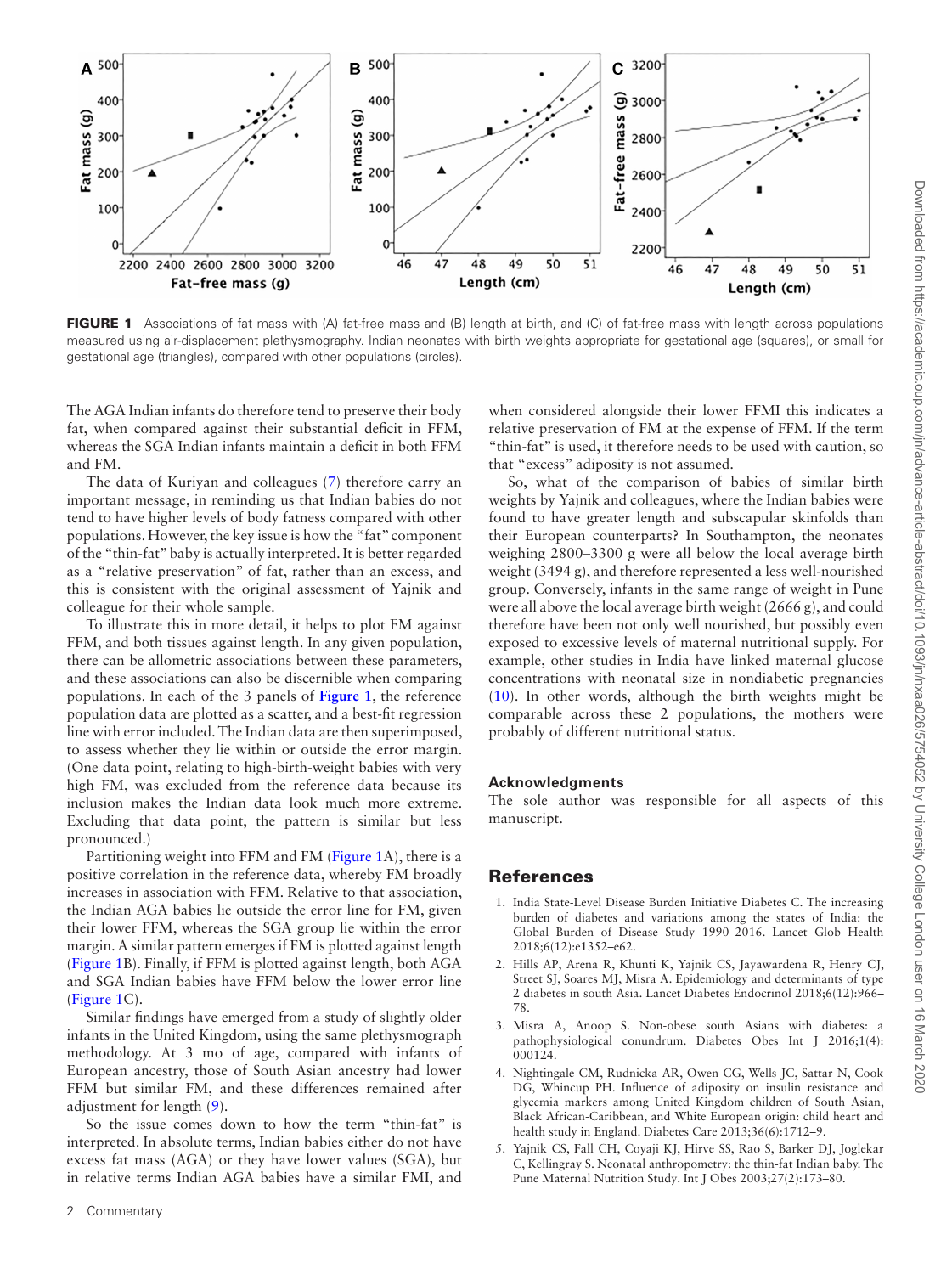<span id="page-1-5"></span>

**FIGURE 1** Associations of fat mass with (A) fat-free mass and (B) length at birth, and (C) of fat-free mass with length across populations measured using air-displacement plethysmography. Indian neonates with birth weights appropriate for gestational age (squares), or small for gestational age (triangles), compared with other populations (circles).

The AGA Indian infants do therefore tend to preserve their body fat, when compared against their substantial deficit in FFM, whereas the SGA Indian infants maintain a deficit in both FFM and FM.

The data of Kuriyan and colleagues [\(7\)](#page-2-1) therefore carry an important message, in reminding us that Indian babies do not tend to have higher levels of body fatness compared with other populations. However, the key issue is how the "fat" component of the "thin-fat" baby is actually interpreted. It is better regarded as a "relative preservation" of fat, rather than an excess, and this is consistent with the original assessment of Yajnik and colleague for their whole sample.

To illustrate this in more detail, it helps to plot FM against FFM, and both tissues against length. In any given population, there can be allometric associations between these parameters, and these associations can also be discernible when comparing populations. In each of the 3 panels of **[Figure 1](#page-1-5)**, the reference population data are plotted as a scatter, and a best-fit regression line with error included. The Indian data are then superimposed, to assess whether they lie within or outside the error margin. (One data point, relating to high-birth-weight babies with very high FM, was excluded from the reference data because its inclusion makes the Indian data look much more extreme. Excluding that data point, the pattern is similar but less pronounced.)

Partitioning weight into FFM and FM [\(Figure 1A](#page-1-5)), there is a positive correlation in the reference data, whereby FM broadly increases in association with FFM. Relative to that association, the Indian AGA babies lie outside the error line for FM, given their lower FFM, whereas the SGA group lie within the error margin. A similar pattern emerges if FM is plotted against length [\(Figure 1B](#page-1-5)). Finally, if FFM is plotted against length, both AGA and SGA Indian babies have FFM below the lower error line [\(Figure 1C](#page-1-5)).

Similar findings have emerged from a study of slightly older infants in the United Kingdom, using the same plethysmograph methodology. At 3 mo of age, compared with infants of European ancestry, those of South Asian ancestry had lower FFM but similar FM, and these differences remained after adjustment for length [\(9\)](#page-2-3).

So the issue comes down to how the term "thin-fat" is interpreted. In absolute terms, Indian babies either do not have excess fat mass (AGA) or they have lower values (SGA), but in relative terms Indian AGA babies have a similar FMI, and when considered alongside their lower FFMI this indicates a relative preservation of FM at the expense of FFM. If the term "thin-fat" is used, it therefore needs to be used with caution, so that "excess" adiposity is not assumed.

So, what of the comparison of babies of similar birth weights by Yajnik and colleagues, where the Indian babies were found to have greater length and subscapular skinfolds than their European counterparts? In Southampton, the neonates weighing 2800–3300 g were all below the local average birth weight (3494 g), and therefore represented a less well-nourished group. Conversely, infants in the same range of weight in Pune were all above the local average birth weight (2666 g), and could therefore have been not only well nourished, but possibly even exposed to excessive levels of maternal nutritional supply. For example, other studies in India have linked maternal glucose concentrations with neonatal size in nondiabetic pregnancies [\(10\)](#page-2-4). In other words, although the birth weights might be comparable across these 2 populations, the mothers were probably of different nutritional status.

## **Acknowledgments**

The sole author was responsible for all aspects of this manuscript.

## **References**

- <span id="page-1-0"></span>1. India State-Level Disease Burden Initiative Diabetes C. The increasing burden of diabetes and variations among the states of India: the Global Burden of Disease Study 1990–2016. Lancet Glob Health 2018;6(12):e1352–e62.
- <span id="page-1-1"></span>2. Hills AP, Arena R, Khunti K, Yajnik CS, Jayawardena R, Henry CJ, Street SJ, Soares MJ, Misra A. Epidemiology and determinants of type 2 diabetes in south Asia. Lancet Diabetes Endocrinol 2018;6(12):966– 78.
- <span id="page-1-2"></span>3. Misra A, Anoop S. Non-obese south Asians with diabetes: a pathophysiological conundrum. Diabetes Obes Int J 2016;1(4): 000124.
- <span id="page-1-3"></span>4. Nightingale CM, Rudnicka AR, Owen CG, Wells JC, Sattar N, Cook DG, Whincup PH. Influence of adiposity on insulin resistance and glycemia markers among United Kingdom children of South Asian, Black African-Caribbean, and White European origin: child heart and health study in England. Diabetes Care 2013;36(6):1712–9.
- <span id="page-1-4"></span>5. Yajnik CS, Fall CH, Coyaji KJ, Hirve SS, Rao S, Barker DJ, Joglekar C, Kellingray S. Neonatal anthropometry: the thin-fat Indian baby. The Pune Maternal Nutrition Study. Int J Obes 2003;27(2):173–80.